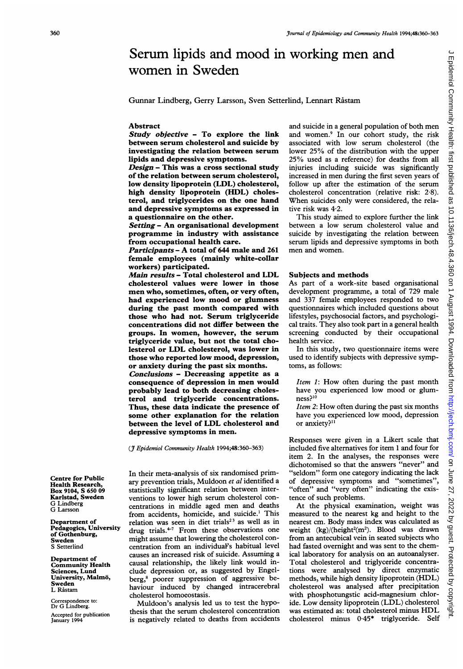# Serum lipids and mood in working men and women in Sweden

#### Abstract

Study objective - To explore the link between serum cholesterol and suicide by investigating the relation between serum lipids and depressive symptoms.

Design - This was a cross sectional study of the relation between serum cholesterol, low density lipoprotein (LDL) cholesterol, high density lipoprotein (HDL) cholesterol, and triglycerides on the one hand and depressive symptoms as expressed in a questionnaire on the other.

Setting - An organisational development programme in industry with assistance from occupational health care.

Participants - A total of <sup>644</sup> male and <sup>261</sup> female employees (mainly white-collar workers) participated.

Main results - Total cholesterol and LDL cholesterol values were lower in those men who, sometimes, often, or very often, had experienced low mood or glumness during the past month compared with those who had not. Serum triglyceride concentrations did not differ between the groups. In women, however, the serum triglyceride value, but not the total cholesterol or LDL cholesterol, was lower in those who reported low mood, depression, or anxiety during the past six months. Conclusions - Decreasing appetite as a consequence of depression in men would probably lead to both decreasing cholesterol and triglyceride concentrations. Thus, these data indicate the presence of some other explanation for the relation between the level of LDL cholesterol and depressive symptoms in men.

(J7 Epidemiol Community Health 1994;48:360-363)

In their meta-analysis of six randomised primary prevention trials, Muldoon et al identified <sup>a</sup> statistically significant relation between interventions to lower high serum cholesterol concentrations in middle aged men and deaths from accidents, homicide, and suicide.' This relation was seen in diet trials<sup>23</sup> as well as in drug trials. $47$  From these observations one might assume that lowering the cholesterol concentration from an individuaf's habitual level causes an increased risk of suicide. Assuming a causal relationship, the likely link would include depression or, as suggested by Engelberg,<sup>8</sup> poorer suppression of aggressive behaviour induced by changed intracerebral cholesterol homoeostasis.

Muldoon's analysis led us to test the hypothesis that the serum cholesterol concentration is negatively related to deaths from accidents and suicide in <sup>a</sup> general population of both men and women.<sup>9</sup> In our cohort study, the risk associated with low serum cholesterol (the lower 25% of the distribution with the upper 25% used as <sup>a</sup> reference) for deaths from all injuries including suicide was significantly increased in men during the first seven years of follow up after the estimation of the serum cholesterol concentration (relative risk: 2 8). When suicides only were considered, the relative risk was 4-2.

This study aimed to explore further the link between a low serum cholesterol value and suicide by investigating the relation between serum lipids and depressive symptoms in both men and women.

## Subjects and methods

As part of a work-site based organisational development programme, a total of 729 male and 337 female employees responded to two questionnaires which included questions about lifestyles, psychosocial factors, and psychological traits. They also took part in a general health screening conducted by their occupational health service.

In this study, two questionnaire items were used to identify subjects with depressive symptoms, as follows:

Item 1: How often during the past month have you experienced low mood or glumness?10

Item 2: How often during the past six months have you experienced low mood, depression or anxiety?<sup>11</sup>

Responses were given in a Likert scale that included five alternatives for item <sup>1</sup> and four for item 2. In the analyses, the responses were dichotomised so that the answers "never" and "seldom" form one category indicating the lack of depressive symptoms and "sometimes", "often" and "very often" indicating the existence of such problems.

At the physical examination, weight was measured to the nearest kg and height to the nearest cm. Body mass index was calculated as weight  $(kg)/(height<sup>2</sup>(m<sup>2</sup>)$ . Blood was drawn from an antecubical vein in seated subjects who had fasted overnight and was sent to the chemical laboratory for analysis on an autoanalyser. Total cholesterol and triglyceride concentrations were analysed by direct enzymatic methods, while high density lipoprotein (HDL) cholesterol was analysed after precipitation with phosphotungstic acid-magnesium chloride. Low density lipoprotein (LDL) cholesterol was estimated as: total cholesterol minus HDL cholesterol minus 0.45\* triglyceride. Self

Centre for Public Health Research, Box 9104, S 650 09 Karlstad, Sweden G Lindberg G Larsson

Department of Pedagogics, University of Gothenburg, Sweden S Setterlind

Department of Community Health Sciences, Lund University, Malmö, Sweden L Råstam

Correspondence to: Dr G Lindberg. Accepted for publication January 1994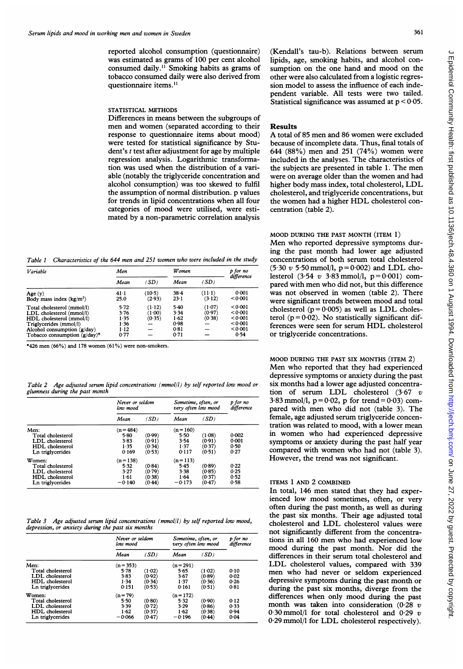reported alcohol consumption (questionnaire) was estimated as grams of 100 per cent alcohol consumed daily.<sup>11</sup> Smoking habits as grams of tobacco consumed daily were also derived from questionnaire items.<sup>11</sup>

## STATISTICAL METHODS

Differences in means between the subgroups of men and women (separated according to their response to questionnaire items about mood) were tested for statistical significance by Student's <sup>t</sup> test after adjustment for age by multiple regression analysis. Logarithmic transformation was used when the distribution of a variable (notably the triglyceride concentration and alcohol consumption) was too skewed to fulfil the assumption of normal distribution. p values for trends in lipid concentrations when all four categories of mood were utilised, were estimated by a non-parametric correlation analysis

Table <sup>1</sup> Characteristics of the 644 men and 251 women who were included in the study

| Variable                                                                                                                                                                         | Men                                              |                                    | <b>W</b> omen                                |                            | p for no                                                    |
|----------------------------------------------------------------------------------------------------------------------------------------------------------------------------------|--------------------------------------------------|------------------------------------|----------------------------------------------|----------------------------|-------------------------------------------------------------|
|                                                                                                                                                                                  | Mean                                             | (SD)                               | Mean                                         | (SD)                       | difference                                                  |
| Age(y)<br>Body mass index $(kg/m2)$                                                                                                                                              | $41-1$<br>25.0                                   | $(10-5)$<br>(2.93)                 | $38 - 4$<br>$23-1$                           | $(11-1)$<br>(3.12)         | 0.001<br>< 0.001                                            |
| Total cholesterol (mmol/l)<br>LDL cholesterol (mmol/l)<br>HDL cholesterol (mmol/l)<br>Triglycerides (mmol/l)<br>Alcohol consumption $(g/day)$<br>Tobacco consumption $(g/day)^*$ | 5.72<br>3.76<br>1.35<br>1.36<br>$1 - 12$<br>0.77 | $(1-12)$<br>(1.00)<br>(0.35)<br>-- | 5.40<br>3.34<br>1.62<br>0.98<br>0.81<br>0.71 | (1.07)<br>(0.97)<br>(0.38) | < 0.001<br>< 0.001<br>< 0.001<br>< 0.001<br>< 0.001<br>0.54 |

\*426 men (66%) and 178 women (61%) were non-smokers.

Table 2 Age adjusted serum lipid concentrations (mmol/l) by self reported low mood or glumness during the past month

|                                                                                              | Never or seldom<br>low mood                   |                                      | Sometime, often, or<br>very often low mood    |                                      | p for no<br>difference         |
|----------------------------------------------------------------------------------------------|-----------------------------------------------|--------------------------------------|-----------------------------------------------|--------------------------------------|--------------------------------|
|                                                                                              | Mean                                          | (SD)                                 | Mean                                          | (SD)                                 |                                |
| Men:<br>Total cholesterol<br>LDL cholesterol<br>HDL cholesterol<br>Ln triglycerides          | $(n = 484)$<br>5.80<br>3.83<br>1.35<br>0.169  | (0.99)<br>(0.91)<br>(0.34)<br>(0.53) | $(n=160)$<br>5.50<br>3.54<br>1.37<br>0.117    | (1.08)<br>(0.91)<br>(0.37)<br>(0.51) | 0.002<br>0.001<br>0.50<br>0.27 |
| Women:<br>Total cholesterol<br>LDL cholesterol<br><b>HDL</b> cholesterol<br>Ln triglycerides | $(n=138)$<br>5.32<br>3.27<br>1.61<br>$-0.140$ | (0.84)<br>(0.79)<br>(0.38)<br>(0.44) | $(n=113)$<br>5.45<br>3.38<br>1.64<br>$-0.173$ | (0.89)<br>(0.85)<br>(0.37)<br>(0.47) | 0.22<br>0.25<br>0.52<br>0.58   |

Table 3 Age adjusted serum lipid concentrations (mmol/l) by self reported low mood, depression, or anxiety during the past six months

|                                                                                       | Never or seldom<br>low mood                      |                                      | Sometime, often, or<br>very often low mood    |                                      | p for no<br>difference       |
|---------------------------------------------------------------------------------------|--------------------------------------------------|--------------------------------------|-----------------------------------------------|--------------------------------------|------------------------------|
|                                                                                       | Mean                                             | (SD)                                 | Mean                                          | (SD)                                 |                              |
| Men:<br>Total cholesterol<br>LDL cholesterol<br>HDL cholesterol<br>Ln triglycerides   | $(n=353)$<br>5.78<br>3.83<br>1.34<br>0.151       | (1.02)<br>(0.92)<br>(0.34)<br>(0.53) | $(n=291)$<br>5.65<br>3.67<br>1.37<br>0.161    | (1.02)<br>(0.89)<br>(0.36)<br>(0.51) | 0.10<br>0.02<br>0.26<br>0.81 |
| Women:<br>Total cholesterol<br>LDL cholesterol<br>HDL cholesterol<br>Ln triglycerides | $(n = 79)$<br>5.50<br>3.39<br>$1-62$<br>$-0.066$ | (0.80)<br>(0.72)<br>(0.37)<br>(0.47) | $(n=172)$<br>5.32<br>3.29<br>1.62<br>$-0.196$ | (0.90)<br>(0.86)<br>(0.38)<br>(0.44) | 0.12<br>0.33<br>0.94<br>0.04 |

(Kendall's tau-b). Relations between serum lipids, age, smoking habits, and alcohol consumption on the one hand and mood on the other were also calculated from a logistic regression model to assess the influence of each independent variable. All tests were two tailed. Statistical significance was assumed at  $p < 0.05$ .

#### Results

A total of <sup>85</sup> men and <sup>86</sup> women were excluded because of incomplete data. Thus, final totals of 644 (88%) men and 251 (74%) women were included in the analyses. The characteristics of the subjects are presented in table 1. The men were on average older than the women and had higher body mass index, total cholesterol, LDL cholesterol, and triglyceride concentrations, but the women had <sup>a</sup> higher HDL cholesterol concentration (table 2).

## MOOD DURING THE PAST MONTH (ITEM 1)

Men who reported depressive symptoms during the past month had lower age adjusted concentrations of both serum total cholesterol  $(5.30 \text{ v } 5.50 \text{ mmol/l}, p = 0.002)$  and LDL cholesterol (3.54 v 3.83 mmol/l,  $p=0.001$ ) compared with men who did not, but this difference was not observed in women (table 2). There were significant trends between mood and total cholesterol ( $p = 0.005$ ) as well as LDL cholesterol ( $p = 0.02$ ). No statistically significant differences were seen for serum HDL cholesterol or triglyceride concentrations.

MOOD DURING THE PAST SIX MONTHS (ITEM 2) Men who reported that they had experienced depressive symptoms or anxiety during the past six months had a lower age adjusted concentration of serum LDL cholesterol (3-67 <sup>v</sup> 3.83 mmol/l,  $p = 0.02$ , p for trend = 0.03) compared with men who did not (table 3). The female, age adjusted serum triglyceride concentration was related to mood, with a lower mean in women who had experienced depressive symptoms or anxiety during the past half year compared with women who had not (table 3). However, the trend was not significant.

## ITEMS <sup>1</sup> AND 2 COMBINED

In total, 146 men stated that they had experienced low mood sometimes, often, or very often during the past month, as well as during the past six months. Their age adjusted total cholesterol and LDL cholesterol values were not significantly different from the concentrations in all 160 men who had experienced low mood during the past month. Nor did the differences in their serum total cholesterol and LDL cholesterol values, compared with <sup>339</sup> men who had never or seldom experienced depressive symptoms during the past month or during the past six months, diverge from the differences when only mood during the past month was taken into consideration  $(0.28 \text{ } v)$ 0.30 mmol/l for total cholesterol and 0.29  $v$ 0-29 mmol/l for LDL cholesterol respectively).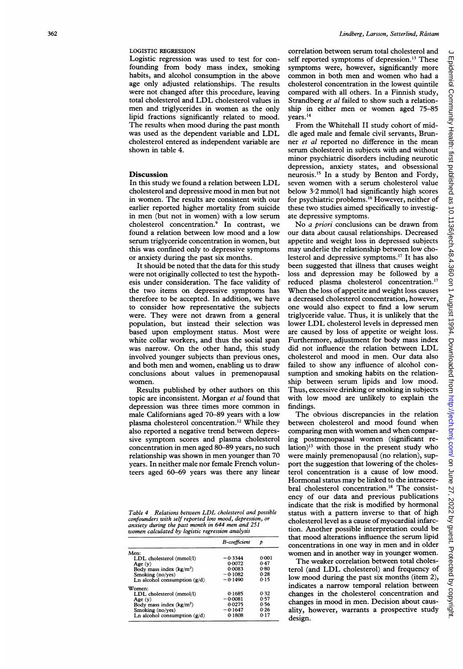### LOGISTIC REGRESSION

Logistic regression was used to test for confounding from body mass index, smoking habits, and alcohol consumption in the above age only adjusted relationships. The results were not changed after this procedure, leaving total cholesterol and LDL cholesterol values in men and triglycerides in women as the only lipid fractions significantly related to mood. The results when mood during the past month was used as the dependent variable and LDL cholesterol entered as independent variable are shown in table 4.

## **Discussion**

In this study we found <sup>a</sup> relation between LDL cholesterol and depressive mood in men but not in women. The results are consistent with our earlier reported higher mortality from suicide in men (but not in women) with a low serum cholesterol concentration.9 In contrast, we found <sup>a</sup> relation between low mood and a low serum triglyceride concentration in women, but this was confined only to depressive symptoms or anxiety during the past six months.

It should be noted that the data for this study were not originally collected to test the hypothesis under consideration. The face validity of the two items on depressive symptoms has therefore to be accepted. In addition, we have to consider how representative the subjects were. They were not drawn from a general population, but instead their selection was based upon employment status. Most were white collar workers, and thus the social span was narrow. On the other hand, this study involved younger subjects than previous ones, and both men and women, enabling us to draw conclusions about values in premenopausal women.

Results published by other authors on this topic are inconsistent. Morgan et al found that depression was three times more common in male Californians aged 70-89 years with a low plasma cholesterol concentration.'2 While they also reported a negative trend between depressive symptom scores and plasma cholesterol concentration in men aged 80-89 years, no such relationship was shown in men younger than 70 years. In neither male nor female French volunteers aged 60-69 years was there any linear

Table <sup>4</sup> Relations between LDL cholesterol and possible confounders with self reported low mood, depression, or anxiety during the past month in 644 men and 251 women calculated by logistic regression analysis

|                                | B-coefficient | D     |
|--------------------------------|---------------|-------|
| Men:                           |               |       |
| LDL cholesterol (mmol/l)       | $-0.3344$     | 0:001 |
| Age $(y)$                      | 0.0072        | 0.47  |
| Body mass index $(kg/m2)$      | 0.0083        | 0.80  |
| Smoking (no/yes)               | $-0.1082$     | 0.28  |
| Ln alcohol consumption $(g/d)$ | $-0.1490$     | 0.15  |
| Women:                         |               |       |
| LDL cholesterol (mmol/l)       | 0.1685        | 0.32  |
| Age(y)                         | $-0.0081$     | 0.57  |
| Body mass index $(kg/m2)$      | 0.0275        | 0.56  |
| Smoking (no/yes)               | $-0.1647$     | 0.26  |
| Ln alcohol consumption $(g/d)$ | 0.1808        | 0.17  |
|                                |               |       |

correlation between serum total cholesterol and self reported symptoms of depression.<sup>13</sup> These symptoms were, however, significantly more common in both men and women who had a cholesterol concentration in the lowest quintile compared with all others. In a Finnish study, Strandberg *et al* failed to show such a relationship in either men or women aged 75-85 years. <sup>14</sup>

From the Whitehall II study cohort of middle aged male and female civil servants, Brunner et al reported no difference in the mean serum cholesterol in subjects with and without minor psychiatric disorders including neurotic depression, anxiety states, and obsessional neurosis.'5 In a study by Benton and Fordy, seven women with a serum cholesterol value below 3 2 mmol/l had significantly high scores for psychiatric problems.'6 However, neither of these two studies aimed specifically to investigate depressive symptoms.

No *a priori* conclusions can be drawn from our data about causal relationships. Decreased appetite and weight loss in depressed subjects may underlie the relationship between low cholesterol and depressive symptoms.'7 It has also been suggested that illness that causes weight loss and depression may be followed by a reduced plasma cholesterol concentration.'7 When the loss of appetite and weight loss causes a decreased cholesterol concentration, however, one would also expect to find a low serum triglyceride value. Thus, it is unlikely that the lower LDL cholesterol levels in depressed men are caused by loss of appetite or weight loss. Furthermore, adjustment for body mass index did not influence the relation between LDL cholesterol and mood in men. Our data also failed to show any influence of alcohol consumption and smoking habits on the relationship between serum lipids and low mood. Thus, excessive drinking or smoking in subjects with low mood are unlikely to explain the findings.

The obvious discrepancies in the relation between cholesterol and mood found when comparing men with women and when comparing postmenopausal women (significant relation)<sup>13</sup> with those in the present study who were mainly premenopausal (no relation), support the suggestion that lowering of the cholesterol concentration is a cause of low mood. Hormonal status may be linked to the intracerebral cholesterol concentration.'8 The consistency of our data and previous publications indicate that the risk is modified by hormonal status with a pattern inverse to that of high cholesterol level as a cause of myocardial infarction. Another possible interpretation could be that mood alterations influence the serum lipid concentrations in one way in men and in older women and in another way in younger women.

The weaker correlation between total cholesterol (and LDL cholesterol) and frequency of low mood during the past six months (item 2), indicates a narrow temporal relation between changes in the cholesterol concentration and changes in mood in men. Decision about causality, however, warrants a prospective study design.